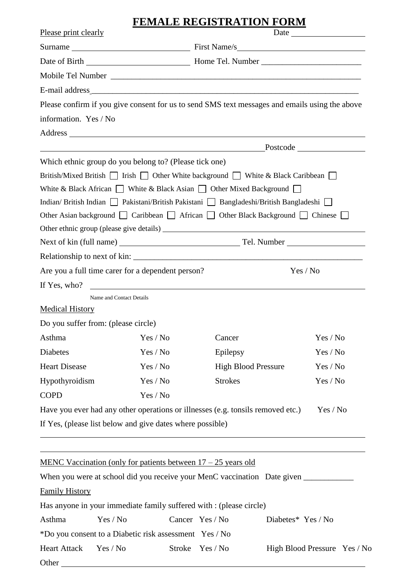# **FEMALE REGISTRATION FORM**

| Please print clearly   |                                                                                           |        | <b>THE ORD LEWIS LOT TO DRIVE</b> |                                                                                                                       |  |  |
|------------------------|-------------------------------------------------------------------------------------------|--------|-----------------------------------|-----------------------------------------------------------------------------------------------------------------------|--|--|
|                        |                                                                                           |        |                                   |                                                                                                                       |  |  |
|                        |                                                                                           |        |                                   |                                                                                                                       |  |  |
|                        |                                                                                           |        |                                   |                                                                                                                       |  |  |
|                        |                                                                                           |        |                                   |                                                                                                                       |  |  |
|                        |                                                                                           |        |                                   | Please confirm if you give consent for us to send SMS text messages and emails using the above                        |  |  |
| information. Yes / No  |                                                                                           |        |                                   |                                                                                                                       |  |  |
|                        |                                                                                           |        |                                   | Address                                                                                                               |  |  |
|                        |                                                                                           |        |                                   | Postcode Postcode Postcode                                                                                            |  |  |
|                        | Which ethnic group do you belong to? (Please tick one)                                    |        |                                   |                                                                                                                       |  |  |
|                        |                                                                                           |        |                                   | British/Mixed British $\Box$ Irish $\Box$ Other White background $\Box$ White & Black Caribbean $\Box$                |  |  |
|                        | White & Black African $\Box$ White & Black Asian $\Box$ Other Mixed Background $\Box$     |        |                                   |                                                                                                                       |  |  |
|                        | Indian/British Indian   Pakistani/British Pakistani   Bangladeshi/British Bangladeshi   □ |        |                                   |                                                                                                                       |  |  |
|                        |                                                                                           |        |                                   | Other Asian background □ Caribbean □ African □ Other Black Background □ Chinese □                                     |  |  |
|                        |                                                                                           |        |                                   |                                                                                                                       |  |  |
|                        |                                                                                           |        |                                   |                                                                                                                       |  |  |
|                        |                                                                                           |        |                                   |                                                                                                                       |  |  |
|                        | Are you a full time carer for a dependent person?                                         |        |                                   | Yes / No                                                                                                              |  |  |
| If Yes, who?           |                                                                                           |        |                                   | <u> 1989 - Johann Harry Harry Harry Harry Harry Harry Harry Harry Harry Harry Harry Harry Harry Harry Harry Harry</u> |  |  |
|                        | Name and Contact Details                                                                  |        |                                   |                                                                                                                       |  |  |
| <b>Medical History</b> |                                                                                           |        |                                   |                                                                                                                       |  |  |
|                        | Do you suffer from: (please circle)                                                       |        |                                   |                                                                                                                       |  |  |
|                        | Asthma Yes / No                                                                           |        | Cancer                            | Yes / No                                                                                                              |  |  |
| Diabetes               | Yes / No                                                                                  |        | Epilepsy                          | Yes / No                                                                                                              |  |  |
| <b>Heart Disease</b>   | Yes / No                                                                                  |        | <b>High Blood Pressure</b>        | Yes / No                                                                                                              |  |  |
| Hypothyroidism         | Yes / No                                                                                  |        | <b>Strokes</b>                    | Yes / No                                                                                                              |  |  |
| <b>COPD</b>            | Yes / No                                                                                  |        |                                   |                                                                                                                       |  |  |
|                        | Have you ever had any other operations or illnesses (e.g. tonsils removed etc.)           |        |                                   | Yes / No                                                                                                              |  |  |
|                        | If Yes, (please list below and give dates where possible)                                 |        |                                   |                                                                                                                       |  |  |
|                        |                                                                                           |        |                                   |                                                                                                                       |  |  |
|                        | <u>MENC Vaccination (only for patients between <math>17 - 25</math> years old</u>         |        |                                   |                                                                                                                       |  |  |
|                        |                                                                                           |        |                                   |                                                                                                                       |  |  |
| <b>Family History</b>  |                                                                                           |        |                                   |                                                                                                                       |  |  |
|                        | Has anyone in your immediate family suffered with : (please circle)                       |        |                                   |                                                                                                                       |  |  |
| Asthma                 | Yes / No                                                                                  |        | Cancer Yes / No                   | Diabetes* Yes / No                                                                                                    |  |  |
|                        | *Do you consent to a Diabetic risk assessment Yes / No                                    |        |                                   |                                                                                                                       |  |  |
| <b>Heart Attack</b>    | Yes / No                                                                                  | Stroke | Yes / No                          | High Blood Pressure Yes / No                                                                                          |  |  |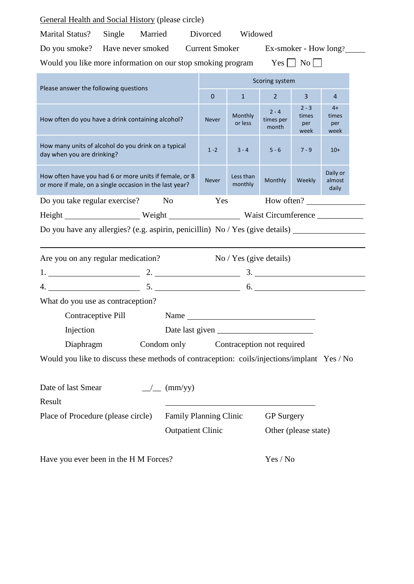| <b>General Health and Social History (please circle)</b>                                                          |                    |  |                          |                                                 |                               |                                 |                              |            |  |
|-------------------------------------------------------------------------------------------------------------------|--------------------|--|--------------------------|-------------------------------------------------|-------------------------------|---------------------------------|------------------------------|------------|--|
| <b>Marital Status?</b><br>Single Married<br>Divorced<br>Widowed                                                   |                    |  |                          |                                                 |                               |                                 |                              |            |  |
| Do you smoke? Have never smoked Current Smoker Ex-smoker - How long?                                              |                    |  |                          |                                                 |                               |                                 |                              |            |  |
| Would you like more information on our stop smoking program                                                       |                    |  |                          |                                                 |                               |                                 | $Yes \mid \mid No \mid \mid$ |            |  |
| Please answer the following questions                                                                             |                    |  |                          | Scoring system                                  |                               |                                 |                              |            |  |
|                                                                                                                   |                    |  |                          | $\mathbf{0}$                                    | $\mathbf{1}$                  | $\overline{2}$                  | $\overline{3}$               | 4          |  |
| How often do you have a drink containing alcohol?                                                                 |                    |  | <b>Never</b>             | Monthly<br>or less                              | $2 - 4$<br>times per<br>month | $2 - 3$<br>times<br>per<br>week | $4+$<br>times<br>per<br>week |            |  |
| How many units of alcohol do you drink on a typical<br>day when you are drinking?                                 |                    |  | $1 - 2$                  | $3 - 4$                                         | $5 - 6$                       | $7 - 9$                         | $10+$                        |            |  |
| How often have you had 6 or more units if female, or 8<br>or more if male, on a single occasion in the last year? |                    |  | <b>Never</b>             | Less than<br>monthly                            | Monthly                       | Weekly                          | Daily or<br>almost<br>daily  |            |  |
| Do you take regular exercise?                                                                                     |                    |  | No                       | Yes                                             |                               |                                 |                              | How often? |  |
|                                                                                                                   |                    |  |                          | Height Neight Neight Neight Naist Circumference |                               |                                 |                              |            |  |
| Do you have any allergies? (e.g. aspirin, penicillin) No / Yes (give details)                                     |                    |  |                          |                                                 |                               |                                 |                              |            |  |
| Are you on any regular medication?                                                                                |                    |  |                          |                                                 | No / Yes (give details)       |                                 |                              |            |  |
|                                                                                                                   |                    |  |                          |                                                 |                               |                                 |                              |            |  |
| $4.$ 6.                                                                                                           |                    |  |                          |                                                 |                               |                                 |                              |            |  |
| What do you use as contraception?                                                                                 |                    |  |                          |                                                 |                               |                                 |                              |            |  |
|                                                                                                                   | Contraceptive Pill |  |                          |                                                 |                               |                                 |                              |            |  |
| Name<br>Injection                                                                                                 |                    |  |                          |                                                 |                               |                                 |                              |            |  |
| Condom only<br>Diaphragm<br>Contraception not required                                                            |                    |  |                          |                                                 |                               |                                 |                              |            |  |
| Would you like to discuss these methods of contraception: coils/injections/implant Yes / No                       |                    |  |                          |                                                 |                               |                                 |                              |            |  |
| Date of last Smear<br>(mm/yy)<br>$\frac{1}{2}$                                                                    |                    |  |                          |                                                 |                               |                                 |                              |            |  |
| Result                                                                                                            |                    |  |                          |                                                 |                               |                                 |                              |            |  |
| Place of Procedure (please circle)<br>Family Planning Clinic                                                      |                    |  |                          |                                                 | <b>GP</b> Surgery             |                                 |                              |            |  |
|                                                                                                                   |                    |  | <b>Outpatient Clinic</b> | Other (please state)                            |                               |                                 |                              |            |  |
| Have you ever been in the H M Forces?                                                                             |                    |  |                          |                                                 | Yes / No                      |                                 |                              |            |  |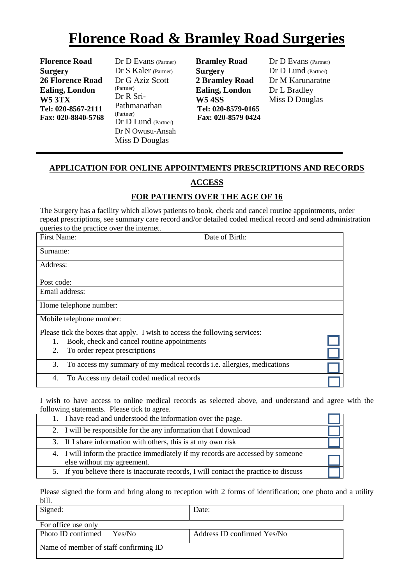# **Florence Road & Bramley Road Surgeries**

**Florence Road Surgery 26 Florence Road Ealing, London W5 3TX Tel: 020-8567-2111 Fax: 020-8840-5768** Dr D Evans (Partner) Dr S Kaler (Partner) Dr G Aziz Scott (Partner) Dr R Sri-Pathmanathan (Partner) Dr D Lund (Partner) Dr N Owusu-Ansah Miss D Douglas

 **Bramley Road Surgery 2 Bramley Road Ealing, London W5 4SS Tel: 020-8579-0165 Fax: 020-8579 0424** Dr D Evans (Partner) Dr D Lund (Partner) Dr M Karunaratne Dr L Bradley Miss D Douglas

#### **APPLICATION FOR ONLINE APPOINTMENTS PRESCRIPTIONS AND RECORDS**

### **ACCESS**

## **FOR PATIENTS OVER THE AGE OF 16**

The Surgery has a facility which allows patients to book, check and cancel routine appointments, order repeat prescriptions, see summary care record and/or detailed coded medical record and send administration queries to the practice over the internet.

| First Name:                                                                | Date of Birth:                                                                |  |  |  |
|----------------------------------------------------------------------------|-------------------------------------------------------------------------------|--|--|--|
| Surname:                                                                   |                                                                               |  |  |  |
| Address:                                                                   |                                                                               |  |  |  |
| Post code:                                                                 |                                                                               |  |  |  |
| Email address:                                                             |                                                                               |  |  |  |
| Home telephone number:                                                     |                                                                               |  |  |  |
| Mobile telephone number:                                                   |                                                                               |  |  |  |
| Please tick the boxes that apply. I wish to access the following services: |                                                                               |  |  |  |
| 1.                                                                         | Book, check and cancel routine appointments                                   |  |  |  |
| 2.                                                                         | To order repeat prescriptions                                                 |  |  |  |
| 3.                                                                         | To access my summary of my medical records <i>i.e.</i> allergies, medications |  |  |  |
| 4.                                                                         | To Access my detail coded medical records                                     |  |  |  |

I wish to have access to online medical records as selected above, and understand and agree with the following statements. Please tick to agree.

| 1. I have read and understood the information over the page.                                                  |  |
|---------------------------------------------------------------------------------------------------------------|--|
| 2. I will be responsible for the any information that I download                                              |  |
| 3. If I share information with others, this is at my own risk                                                 |  |
| 4. I will inform the practice immediately if my records are accessed by someone<br>else without my agreement. |  |
| 5. If you believe there is inaccurate records, I will contact the practice to discuss                         |  |

Please signed the form and bring along to reception with 2 forms of identification; one photo and a utility bill.

| Signed:                               | Date:                       |
|---------------------------------------|-----------------------------|
| For office use only                   |                             |
| Photo ID confirmed<br>Yes/No          | Address ID confirmed Yes/No |
| Name of member of staff confirming ID |                             |